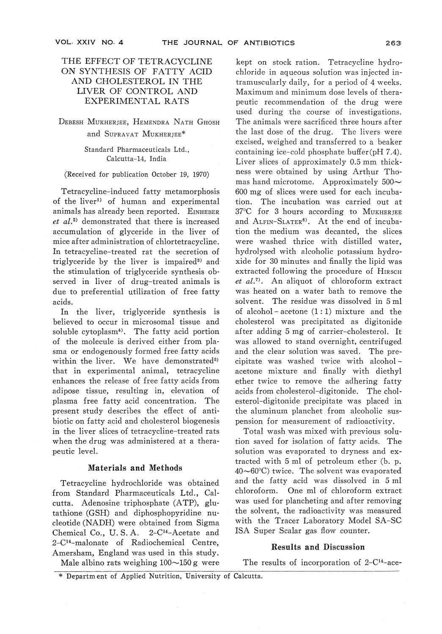# THE EFFECT OF TETRACYCLINE ON SYNTHESIS OF FATTY ACID AND CHOLESTEROL IN THE LIVER OF CONTROL AND EXPERIMENTAL RATS

## DEBESH MUKHERIEE, HEMENDRA NATH GHOSH and SUPRAVAT MUKHERJEE\* and Supraval Mukherjee

### Standard Pharmaceuticals Ltd., Calcutta-14, India

#### (Received for publication October 19, 1970)

of the liver<sup>11</sup> of human and experimental animals has already been reported. EINHEBER *et al.*<sup>2)</sup> demonstrated that there is increased et al.2) demonstrated that there is increased accumulation of glyceride in the liver of mice after administration of chlortetracycline. In tetracycline-treated rat the secretion of triglyceride by the liver is impaired and the stimulation of triglyceride synthesis observed in liver of drug-treated animals is due to preferential utilization of free fatty acids.

In the liver, triglyceride synthesis is<br>believed to occur in microsomal tissue and soluble cytoplasm<sup>4</sup>). The fatty acid portion of the molecule is derived either from pla-<br>sma or endogenously formed free fatty acids within the liver. We have demonstrated<sup>5)</sup> that in experimental animal, tetracycline<br>enhances the release of free fatty acids from enhances the release of free factors of adipose tissue, resulting in, elevation of plasma free fatty acid concentration. The present study describes the effect of antiin the liver slices of tetracycline-treated rats when the drug was administered at a therawhen the drug was administered at a theorem.

### Materials and Methods

Tetracycline hydrochloride was obtained from Standard Pharmaceuticals Ltd., Calcutta. Adenosine triphosphate (ATP), glutathione (GSH) and diphosphopyridine nu-Chemical Co., U. S.A.  $2-C^{14}-$ Acetate and  $2-C^{14}$ -malonate of Radiochemical Centre,<br>Amersham, England was used in this study. Male albino rats weighing  $100 \sim 150$  g were

kept on stock ration. Tetracycline hydro-<br>chloride in aqueous solution was injected intramuscularly daily, for a period of 4 weeks. Maximum and minimum dose levels of therapeutic recommendation of the drug were used during the course of investigations.<br>The animals were sacrificed three hours after  $T_{\rm tot} = 1.7 \times 10^{-4}$  and  $T_{\rm tot} = 1.7 \times 10^{-4}$  and  $T_{\rm tot} = 1.7 \times 10^{-4}$  and  $T_{\rm tot} = 1.7 \times 10^{-4}$ the last dose of the drug. The livers were containing ice-cold phosphate buffer $(\text{pH } 7.4)$ . Liver slices of approximately 0.5 mm thickness were obtained by using Arthur Thomas hand microtome. Approximately  $500 \sim 600$  mg of slices were used for each incuba-600 mg of slices were used for each incuba-tion. The incubation was carried out at 37°C for 3 hours according to MUKHERJEE and ALFIN-SLATER<sup>6</sup>. At the end of incubation the medium was decanted, the slice were washed thrice with distilled water,<br>hydrolysed with alcoholic potassium hydroxide for 30 minutes and finally the lipid was extracted following the procedure of HIRSCH et  $al^{(7)}$ . An aliquot of chloroform extract was heated on a water bath to remove the solvent. The residue was dissolved in 5 ml solvent. The residue was dissolved in 5ml of alcohol-acetone (1 : 1) mixture and the cholesterol was precipitated as digitonide was allowed to stand overnight, centrifuged and the clear solution was saved. The precipitate was washed twice with alcoholacetone mixture and finally with diethyl ether twice to remove the adhering fatty<br>acids from cholesterol-digitonide. The chol- $\frac{1}{1}$  and  $\frac{1}{1}$  and  $\frac{1}{1}$  and  $\frac{1}{1}$  and  $\frac{1}{1}$  and  $\frac{1}{1}$  and  $\frac{1}{1}$  and  $\frac{1}{1}$  and  $\frac{1}{1}$  and  $\frac{1}{1}$  and  $\frac{1}{1}$  and  $\frac{1}{1}$  and  $\frac{1}{1}$  and  $\frac{1}{1}$  and  $\frac{1}{1}$  and  $\frac{1}{1}$  a esterol-digitonide precipitate was placed in the aluminum planchet from alcoholic sus-

Total wash was mixed with previous solution saved for isolation of fatty acids. The<br>solution was evaporated to dryness and extracted with  $5$  ml of petroleum ether (b. p.  $40\nthicksim 60^\circ\text{C}$  twice. The solvent was evaporated 40~60°C) twice. The solvent was evaporated and the fatty acid was dissolved in 5 m chloroform. One ml of chloroform extract the solvent, the radioactivity was measured with the Tracer Laboratory Model SA-SC ISA Super Scalar gas flow counter. ISA Super Scalar gas flow counter.

## Results and Discussion

The results of incorporation of  $2-C^{14}$ -ace-

 $M_{\odot}$  and  $M_{\odot}$  and  $M_{\odot}$  g were  $\sigma$ \* Department of Applied Nutrition, University of Calcutta.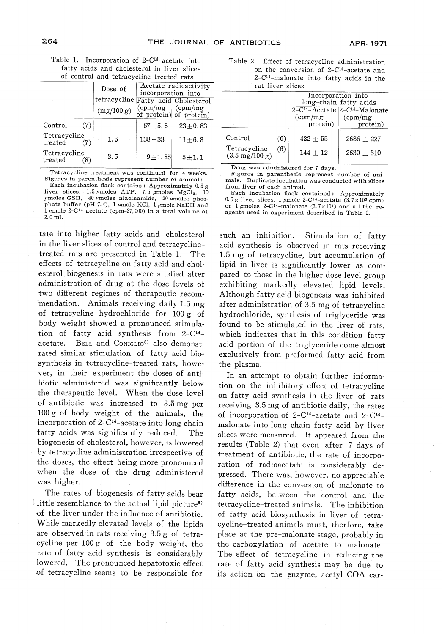| Table 1. Incorporation of 2-C <sup>14</sup> -acetate into |                                             |  |  |  |  |
|-----------------------------------------------------------|---------------------------------------------|--|--|--|--|
|                                                           | fatty acids and cholesterol in liver slices |  |  |  |  |
|                                                           | of control and tetracycline treated rate    |  |  |  |  |

| of control and tetracycline-treated rais |              |                                             |                                              |  |  |  |
|------------------------------------------|--------------|---------------------------------------------|----------------------------------------------|--|--|--|
|                                          | Dose of      | Acetate radioactivity<br>incorporation into |                                              |  |  |  |
|                                          | tetracycline |                                             | Fatty acid Cholesterol                       |  |  |  |
|                                          | (mg/100 g)   | $\epsilon$ (cpm/mg)                         | $\text{(cpm/mg)}$<br>of protein) of protein) |  |  |  |
| Control<br>(7)                           |              | $67 + 5.8$                                  | $23 + 0.83$                                  |  |  |  |
| Tetracycline<br>treated                  | 1.5          | $138 + 33$                                  | $11 \pm 6.8$                                 |  |  |  |
| Tetracycline<br>treated<br>(8            | 3.5          | $9 + 1.85$                                  | $5\!\pm\!1.1$                                |  |  |  |

Tetracycline treatment was continued for 4 weeks.<br>Figures in parenthesis represent number of animals. Each incubation flask contains : Approximately 0.5 g<br>liver slices, 1.5  $\mu$ moles ATP, 7.5  $\mu$ moles MgCl<sub>2</sub>, 10 phate buffer (pH 7.4), 1  $\mu$ mole KCl, 1  $\mu$ mole NaDH and  $\frac{1}{2}$   $\mu$  mole 2-C<sup>14</sup>-acetate (cpm-37,000) in a total volume of 2.0ml.

tate into higher fatty acids and cholesterol treated rats are presented in Table 1. The effects of tetracycline on fatty acid and cholesterol biogenesis in rats were studied after<br>administration of drug at the dose levels of two different regimes of the apeutic recommendation. Animals receiving daily 1.5 mg<br>of tetracycline hydrochloride for 100 g of body weight showed a pronounced stimulation of fatty acid synthesis from  $2-C^{14}$ acetate. BELL and Coniglio<sup>8)</sup> also demonstrated similar stimulation of fatty acid biosynthesis in tetracycline-treated rats, however, in their experiment the doses of antibiotic administered was significantly below<br>the therapeutic level. When the dose level the therapeutic level. When the dose leve of antibiotic was increased to 3.5mg per 100 g of body weight of the animals, the incorporation of  $2$ -C<sup>14</sup>-acetate into long chain fatty acids was significantly reduced. The biogenesis of cholesterol, however, is lowered<br>by tetracycline administration irrespective of the doses, the effect being more pronounced when the dose of the drug administered was higher.

The rates of biogenesis of fatty acids bear<br>little resemblance to the actual lipid picture<sup>5</sup> of the liver under the influence of antibiotic. While markedly elevated levels of the lipids. are observed in rats receiving  $3.5$  g of tetracycline per  $100 g$  of the body weight, the rate of fatty acid synthesis is considerably<br>lowered. The pronounced hepatotoxic effect of tetracycline seems to be responsible for

Table 2. Effect of tetracycline administration on the conversion of 2-C14-acetate and 2-C14-malonate into fatty acids in the rat liver slices

|                                                  |     | Incorporation into<br>long-chain fatty acids |                                                        |  |  |
|--------------------------------------------------|-----|----------------------------------------------|--------------------------------------------------------|--|--|
|                                                  |     |                                              | 2-C <sup>14</sup> -Acetate 2-C <sup>14</sup> -Malonate |  |  |
|                                                  |     | $\text{(cpm/mg)}$                            | $\text{(cpm/mg)}$                                      |  |  |
|                                                  |     | protein)                                     | protein)                                               |  |  |
| Control                                          | (6) | $422 + 55$                                   | $2686 + 227$                                           |  |  |
| Tetracycline<br>$(3.5 \text{ mg}/100 \text{ g})$ | (6) | $144 + 12$                                   | $2630 + 310$                                           |  |  |

Drug was administered for 7 days.<br>Figures in parenthesis represent number of ani $mals.$  Duplicate incubation was conducted with slices  $from$  liver of each animal.

Each incubation flask contained: Approximately 0.5 g liver slices, 1  $\mu$ mole 2-C<sup>14</sup>-acetate (3.7×10<sup>5</sup> cpm) or  $\frac{1}{2}$  finoles 2-C<sup>14</sup>-malonate (3.7x10<sup>4</sup>) and all the re-<br>agents used in experiment described in Table 1. agents used in experiment described in Table 1.

such an inhibition. Stimulation of fatty acid synthesis is observed in rats receiving<br>1.5 mg of tetracycline, but accumulation of lipid in liver is significantly lower as compared to those in the higher dose level group<br>exhibiting markedly elevated lipid levels.<br>Although fatty acid biogenesis was inhibited after administration of 3.5 mg of tetracycline hydrochloride, synthesis of triglyceride was found to be stimulated in the liver of rats, which indicates that in this condition fatty<br>acid portion of the triglyceride come almost exclusively from preformed fatty acid from the plasma.

In an attempt to obtain further information on the inhibitory effect of tetracycline on fatty acid synthesis in the liver of rats<br>receiving 3.5 mg of antibiotic daily, the rates of incorporation of  $2-C^{14}$ -acetate and  $2-C^{14}$ malonate into long chain fatty acid by liver<br>slices were measured. It appeared from the shees were measured. It appeared from the results (Table 2) that even after 7 days of treatment of antibiotic, the rate of incorporation of radioacetate is considerably de-<br>pressed. There was, however, no appreciable difference in the conversion of malonate to fatty acids, between the control and the of fatty acid biosynthesis in liver of tetr cycline-treated animals must, therfore, take place at the pre-malonate stage, probably in the carboxylation of acetate to malonate. The effect of tetracycline in reducing the rate of fatty acid synthesis may be due to its action on the enzyme, acetyl COA car-